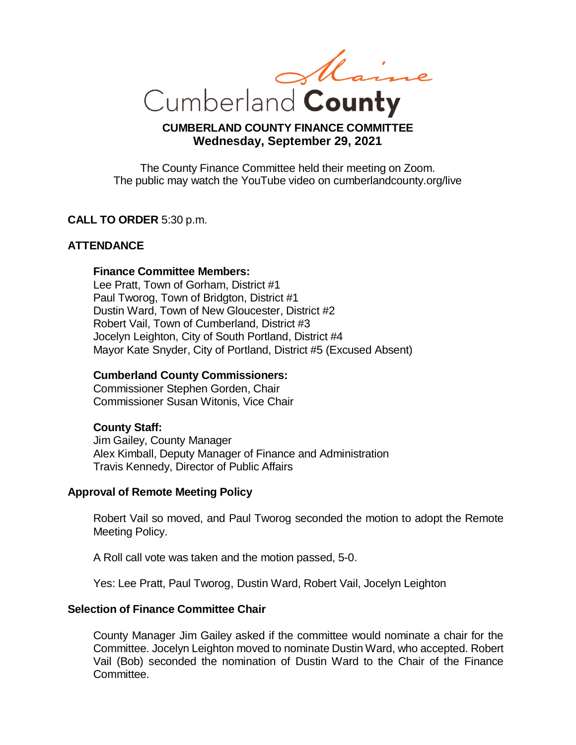Cumberland County

# **CUMBERLAND COUNTY FINANCE COMMITTEE Wednesday, September 29, 2021**

The County Finance Committee held their meeting on Zoom. The public may watch the YouTube video on cumberlandcounty.org/live

## **CALL TO ORDER** 5:30 p.m.

### **ATTENDANCE**

#### **Finance Committee Members:**

Lee Pratt, Town of Gorham, District #1 Paul Tworog, Town of Bridgton, District #1 Dustin Ward, Town of New Gloucester, District #2 Robert Vail, Town of Cumberland, District #3 Jocelyn Leighton, City of South Portland, District #4 Mayor Kate Snyder, City of Portland, District #5 (Excused Absent)

#### **Cumberland County Commissioners:**

Commissioner Stephen Gorden, Chair Commissioner Susan Witonis, Vice Chair

#### **County Staff:**

Jim Gailey, County Manager Alex Kimball, Deputy Manager of Finance and Administration Travis Kennedy, Director of Public Affairs

### **Approval of Remote Meeting Policy**

Robert Vail so moved, and Paul Tworog seconded the motion to adopt the Remote Meeting Policy.

A Roll call vote was taken and the motion passed, 5-0.

Yes: Lee Pratt, Paul Tworog, Dustin Ward, Robert Vail, Jocelyn Leighton

#### **Selection of Finance Committee Chair**

County Manager Jim Gailey asked if the committee would nominate a chair for the Committee. Jocelyn Leighton moved to nominate Dustin Ward, who accepted. Robert Vail (Bob) seconded the nomination of Dustin Ward to the Chair of the Finance Committee.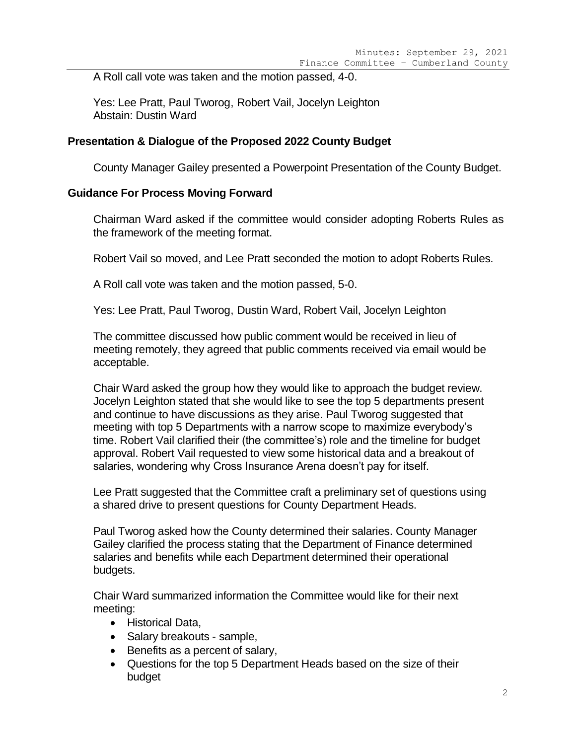A Roll call vote was taken and the motion passed, 4-0.

Yes: Lee Pratt, Paul Tworog, Robert Vail, Jocelyn Leighton Abstain: Dustin Ward

#### **Presentation & Dialogue of the Proposed 2022 County Budget**

County Manager Gailey presented a Powerpoint Presentation of the County Budget.

#### **Guidance For Process Moving Forward**

Chairman Ward asked if the committee would consider adopting Roberts Rules as the framework of the meeting format.

Robert Vail so moved, and Lee Pratt seconded the motion to adopt Roberts Rules.

A Roll call vote was taken and the motion passed, 5-0.

Yes: Lee Pratt, Paul Tworog, Dustin Ward, Robert Vail, Jocelyn Leighton

The committee discussed how public comment would be received in lieu of meeting remotely, they agreed that public comments received via email would be acceptable.

Chair Ward asked the group how they would like to approach the budget review. Jocelyn Leighton stated that she would like to see the top 5 departments present and continue to have discussions as they arise. Paul Tworog suggested that meeting with top 5 Departments with a narrow scope to maximize everybody's time. Robert Vail clarified their (the committee's) role and the timeline for budget approval. Robert Vail requested to view some historical data and a breakout of salaries, wondering why Cross Insurance Arena doesn't pay for itself.

Lee Pratt suggested that the Committee craft a preliminary set of questions using a shared drive to present questions for County Department Heads.

Paul Tworog asked how the County determined their salaries. County Manager Gailey clarified the process stating that the Department of Finance determined salaries and benefits while each Department determined their operational budgets.

Chair Ward summarized information the Committee would like for their next meeting:

- Historical Data,
- Salary breakouts sample,
- Benefits as a percent of salary,
- Questions for the top 5 Department Heads based on the size of their budget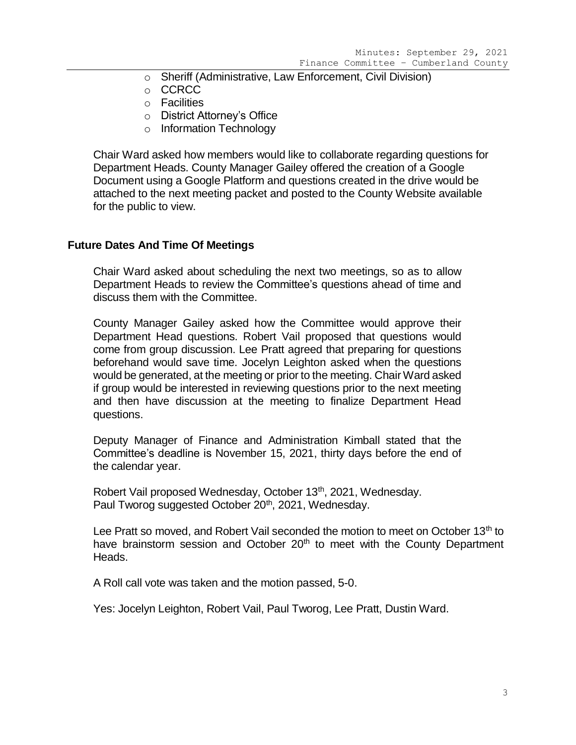- o Sheriff (Administrative, Law Enforcement, Civil Division)
- o CCRCC
- o Facilities
- o District Attorney's Office
- o Information Technology

Chair Ward asked how members would like to collaborate regarding questions for Department Heads. County Manager Gailey offered the creation of a Google Document using a Google Platform and questions created in the drive would be attached to the next meeting packet and posted to the County Website available for the public to view.

#### **Future Dates And Time Of Meetings**

Chair Ward asked about scheduling the next two meetings, so as to allow Department Heads to review the Committee's questions ahead of time and discuss them with the Committee.

County Manager Gailey asked how the Committee would approve their Department Head questions. Robert Vail proposed that questions would come from group discussion. Lee Pratt agreed that preparing for questions beforehand would save time. Jocelyn Leighton asked when the questions would be generated, at the meeting or prior to the meeting. Chair Ward asked if group would be interested in reviewing questions prior to the next meeting and then have discussion at the meeting to finalize Department Head questions.

Deputy Manager of Finance and Administration Kimball stated that the Committee's deadline is November 15, 2021, thirty days before the end of the calendar year.

Robert Vail proposed Wednesday, October 13<sup>th</sup>, 2021, Wednesday. Paul Tworog suggested October 20<sup>th</sup>, 2021, Wednesday.

Lee Pratt so moved, and Robert Vail seconded the motion to meet on October 13<sup>th</sup> to have brainstorm session and October 20<sup>th</sup> to meet with the County Department Heads.

A Roll call vote was taken and the motion passed, 5-0.

Yes: Jocelyn Leighton, Robert Vail, Paul Tworog, Lee Pratt, Dustin Ward.